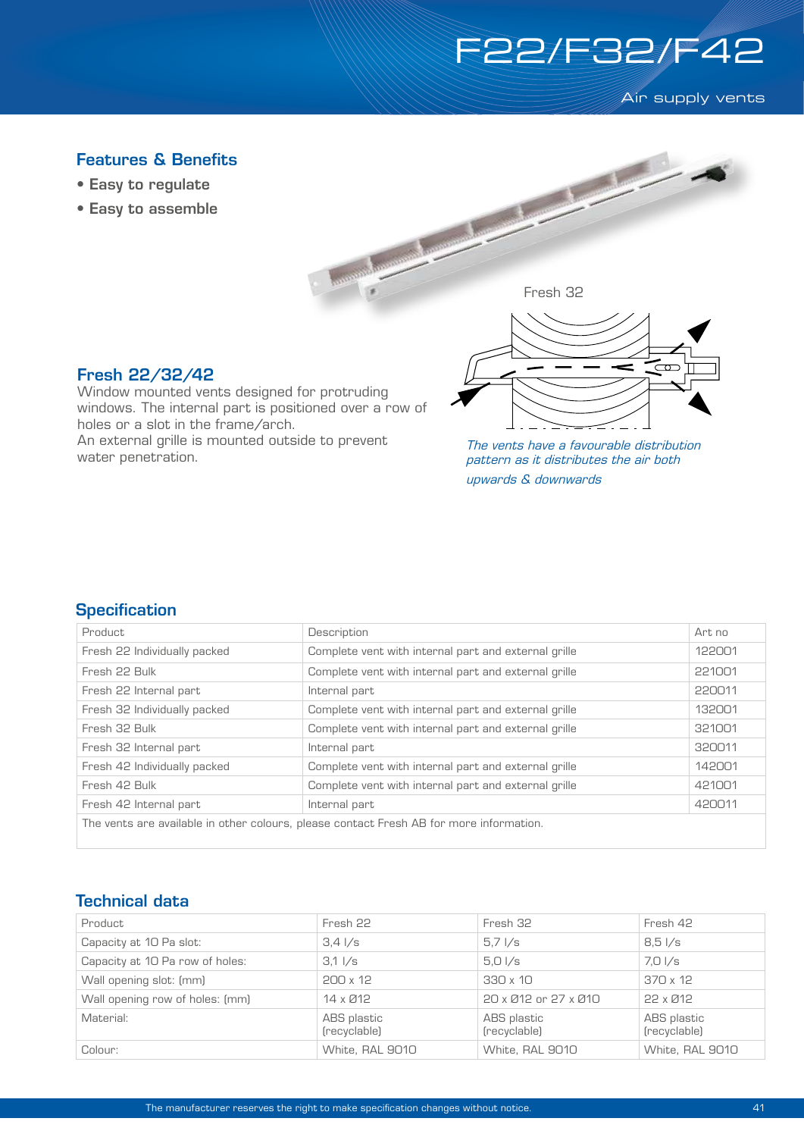

Air supply vents

## Fresh 32 Features & Benefits • Easy to regulate • Easy to assemble Fresh 22/32/42 Window mounted vents designed for protruding windows. The internal part is positioned over a row of holes or a slot in the frame/arch. An external grille is mounted outside to prevent water penetration. The vents have a favourable distribution pattern as it distributes the air both

upwards & downwards

#### **Specification**

| Product                                                                                 | Description                                          | Art no |  |
|-----------------------------------------------------------------------------------------|------------------------------------------------------|--------|--|
| Fresh 22 Individually packed                                                            | Complete vent with internal part and external grille | 122001 |  |
| Fresh 22 Bulk                                                                           | Complete vent with internal part and external grille | 221001 |  |
| Fresh 22 Internal part                                                                  | Internal part                                        | 220011 |  |
| Fresh 32 Individually packed                                                            | Complete vent with internal part and external grille | 132001 |  |
| Fresh 32 Bulk                                                                           | Complete vent with internal part and external grille | 321001 |  |
| Fresh 32 Internal part                                                                  | Internal part                                        | 320011 |  |
| Fresh 42 Individually packed                                                            | Complete vent with internal part and external grille | 142001 |  |
| Fresh 42 Bulk                                                                           | Complete vent with internal part and external grille | 421001 |  |
| Fresh 42 Internal part                                                                  | Internal part                                        | 420011 |  |
| The vents are available in other colours, please contact Fresh AB for more information. |                                                      |        |  |

#### Technical data

| Product                         | Fresh 22                        | Fresh 32                        | Fresh 42                    |
|---------------------------------|---------------------------------|---------------------------------|-----------------------------|
| Capacity at 10 Pa slot:         | $3.4 \frac{\text{1}}{\text{s}}$ | $5.7 \frac{\text{I}}{\text{s}}$ | $8.5\sqrt{s}$               |
| Capacity at 10 Pa row of holes: | $3.1 \frac{\text{I}}{\text{s}}$ | $5.0\sqrt{s}$                   | 7.0 I/s                     |
| Wall opening slot: (mm)         | $200 \times 12$                 | $330 \times 10$                 | 370 x 12                    |
| Wall opening row of holes: (mm) | 14 x Ø12                        | 20 x Ø12 or 27 x Ø10            | 22 x Ø12                    |
| Material:                       | ABS plastic<br>(recyclable)     | ABS plastic<br>(recyclable)     | ABS plastic<br>(recyclable) |
| Colour:                         | White, RAL 9010                 | White, RAL 9010                 | White, RAL 9010             |